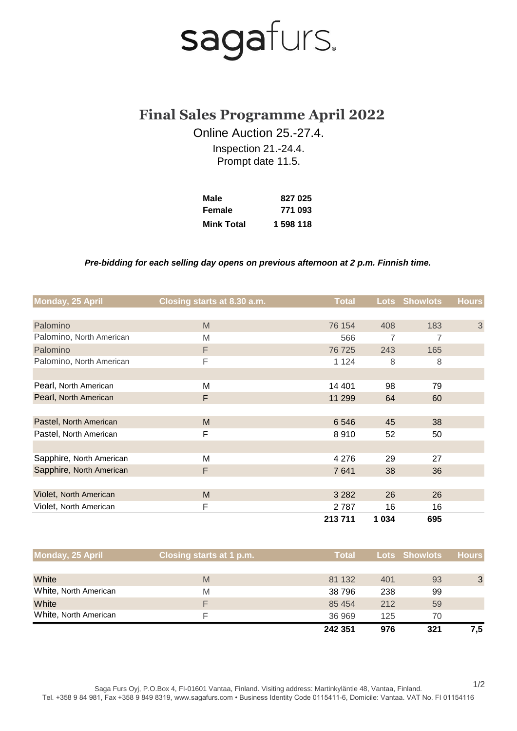## sagafurs.

### **Final Sales Programme April 2022**

Online Auction 25.-27.4.

Inspection 21.-24.4. Prompt date 11.5.

| Male              | 827 025   |
|-------------------|-----------|
| Female            | 771 093   |
| <b>Mink Total</b> | 1 598 118 |

#### *Pre-bidding for each selling day opens on previous afternoon at 2 p.m. Finnish time.*

| Monday, 25 April         | Closing starts at 8.30 a.m. | <b>Total</b> |         | <b>Lots Showlots</b> | <b>Hours</b>   |
|--------------------------|-----------------------------|--------------|---------|----------------------|----------------|
|                          |                             |              |         |                      |                |
| Palomino                 | M                           | 76 154       | 408     | 183                  | $\mathfrak{S}$ |
| Palomino, North American | M                           | 566          | 7       | 7                    |                |
| Palomino                 | F                           | 76 725       | 243     | 165                  |                |
| Palomino, North American | F                           | 1 1 2 4      | 8       | 8                    |                |
|                          |                             |              |         |                      |                |
| Pearl, North American    | M                           | 14 401       | 98      | 79                   |                |
| Pearl, North American    | F                           | 11 299       | 64      | 60                   |                |
|                          |                             |              |         |                      |                |
| Pastel, North American   | M                           | 6546         | 45      | 38                   |                |
| Pastel, North American   | F                           | 8910         | 52      | 50                   |                |
|                          |                             |              |         |                      |                |
| Sapphire, North American | M                           | 4 2 7 6      | 29      | 27                   |                |
| Sapphire, North American | F                           | 7641         | 38      | 36                   |                |
|                          |                             |              |         |                      |                |
| Violet, North American   | M                           | 3 2 8 2      | 26      | 26                   |                |
| Violet, North American   | F                           | 2787         | 16      | 16                   |                |
|                          |                             | 213711       | 1 0 3 4 | 695                  |                |

| Monday, 25 April      | Closing starts at 1 p.m. | <b>Total</b> |     | <b>Lots Showlots</b> | <b>Hours</b> |
|-----------------------|--------------------------|--------------|-----|----------------------|--------------|
|                       |                          |              |     |                      |              |
| White                 | M                        | 81 132       | 401 | 93                   | 3            |
| White, North American | M                        | 38796        | 238 | 99                   |              |
| White                 | F                        | 85 454       | 212 | 59                   |              |
| White, North American | F                        | 36 969       | 125 | 70                   |              |
|                       |                          | 242 351      | 976 | 321                  | 7.5          |